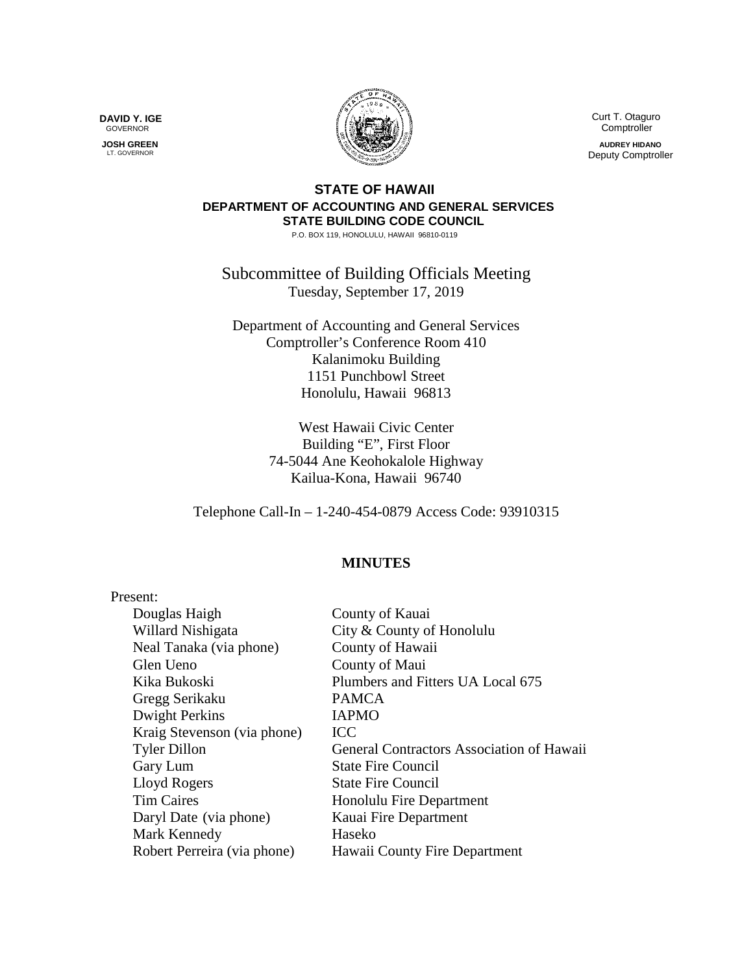**DAVID Y. IGE** GOVERNOR

 **JOSH GREEN** LT. GOVERNOR



 Curt T. Otaguro **Comptroller** 

**AUDREY HIDANO** Deputy Comptroller

## **STATE OF HAWAII DEPARTMENT OF ACCOUNTING AND GENERAL SERVICES STATE BUILDING CODE COUNCIL**

P.O. BOX 119, HONOLULU, HAWAII 96810-0119

Subcommittee of Building Officials Meeting Tuesday, September 17, 2019

Department of Accounting and General Services Comptroller's Conference Room 410 Kalanimoku Building 1151 Punchbowl Street Honolulu, Hawaii 96813

> West Hawaii Civic Center Building "E", First Floor 74-5044 Ane Keohokalole Highway Kailua-Kona, Hawaii 96740

Telephone Call-In – 1-240-454-0879 Access Code: 93910315

## **MINUTES**

| Present:                    |                                                  |
|-----------------------------|--------------------------------------------------|
| Douglas Haigh               | County of Kauai                                  |
| Willard Nishigata           | City & County of Honolulu                        |
| Neal Tanaka (via phone)     | County of Hawaii                                 |
| Glen Ueno                   | County of Maui                                   |
| Kika Bukoski                | Plumbers and Fitters UA Local 675                |
| Gregg Serikaku              | <b>PAMCA</b>                                     |
| Dwight Perkins              | <b>IAPMO</b>                                     |
| Kraig Stevenson (via phone) | <b>ICC</b>                                       |
| <b>Tyler Dillon</b>         | <b>General Contractors Association of Hawaii</b> |
| Gary Lum                    | <b>State Fire Council</b>                        |
| Lloyd Rogers                | <b>State Fire Council</b>                        |
| <b>Tim Caires</b>           | Honolulu Fire Department                         |
| Daryl Date (via phone)      | Kauai Fire Department                            |
| Mark Kennedy                | Haseko                                           |
| Robert Perreira (via phone) | Hawaii County Fire Department                    |